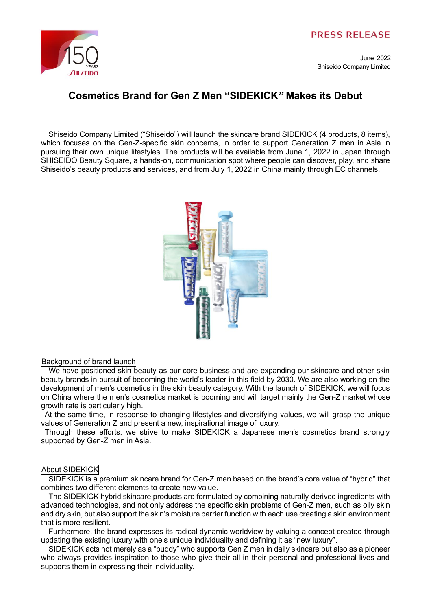

June 2022 Shiseido Company Limited

## **Cosmetics Brand for Gen Z Men "SIDEKICK***"* **Makes its Debut**

Shiseido Company Limited ("Shiseido") will launch the skincare brand SIDEKICK (4 products, 8 items), which focuses on the Gen-Z-specific skin concerns, in order to support Generation Z men in Asia in pursuing their own unique lifestyles. The products will be available from June 1, 2022 in Japan through SHISEIDO Beauty Square, a hands-on, communication spot where people can discover, play, and share Shiseido's beauty products and services, and from July 1, 2022 in China mainly through EC channels.



## Background of brand launch

We have positioned skin beauty as our core business and are expanding our skincare and other skin beauty brands in pursuit of becoming the world's leader in this field by 2030. We are also working on the development of men's cosmetics in the skin beauty category. With the launch of SIDEKICK, we will focus on China where the men's cosmetics market is booming and will target mainly the Gen-Z market whose growth rate is particularly high.

At the same time, in response to changing lifestyles and diversifying values, we will grasp the unique values of Generation Z and present a new, inspirational image of luxury.

Through these efforts, we strive to make SIDEKICK a Japanese men's cosmetics brand strongly supported by Gen-Z men in Asia.

## About SIDEKICK

SIDEKICK is a premium skincare brand for Gen-Z men based on the brand's core value of "hybrid" that combines two different elements to create new value.

The SIDEKICK hybrid skincare products are formulated by combining naturally-derived ingredients with advanced technologies, and not only address the specific skin problems of Gen-Z men, such as oily skin and dry skin, but also support the skin's moisture barrier function with each use creating a skin environment that is more resilient.

Furthermore, the brand expresses its radical dynamic worldview by valuing a concept created through updating the existing luxury with one's unique individuality and defining it as "new luxury".

SIDEKICK acts not merely as a "buddy" who supports Gen Z men in daily skincare but also as a pioneer who always provides inspiration to those who give their all in their personal and professional lives and supports them in expressing their individuality.